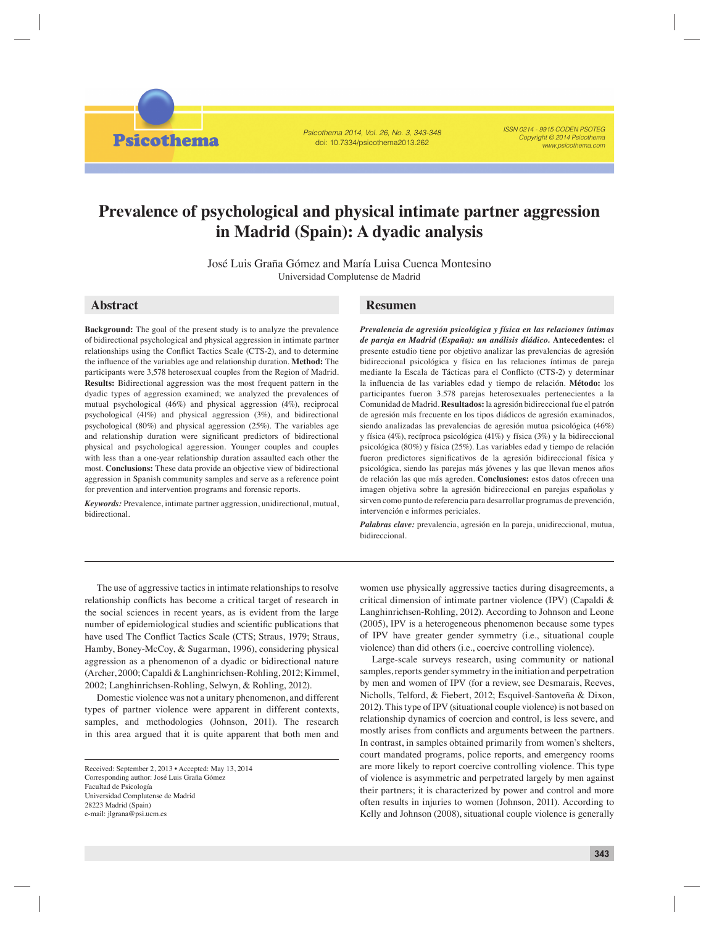**Psicothema** 

Psicothema 2014, Vol. 26, No. 3, 343-348 doi: 10.7334/psicothema2013.262

ISSN 0214 - 9915 CODEN PSOTEG Copyright © 2014 Psicothema www.psicothema.com

# **Prevalence of psychological and physical intimate partner aggression in Madrid (Spain): A dyadic analysis**

José Luis Graña Gómez and María Luisa Cuenca Montesino Universidad Complutense de Madrid

**Background:** The goal of the present study is to analyze the prevalence of bidirectional psychological and physical aggression in intimate partner relationships using the Conflict Tactics Scale (CTS-2), and to determine the influence of the variables age and relationship duration. Method: The participants were 3,578 heterosexual couples from the Region of Madrid. **Results:** Bidirectional aggression was the most frequent pattern in the dyadic types of aggression examined; we analyzed the prevalences of mutual psychological (46%) and physical aggression (4%), reciprocal psychological (41%) and physical aggression (3%), and bidirectional psychological (80%) and physical aggression (25%). The variables age and relationship duration were significant predictors of bidirectional physical and psychological aggression. Younger couples and couples with less than a one-year relationship duration assaulted each other the most. **Conclusions:** These data provide an objective view of bidirectional aggression in Spanish community samples and serve as a reference point for prevention and intervention programs and forensic reports.

*Keywords:* Prevalence, intimate partner aggression, unidirectional, mutual, bidirectional.

# **Abstract Resumen**

*Prevalencia de agresión psicológica y física en las relaciones íntimas de pareja en Madrid (España): un análisis diádico.* **Antecedentes:** el presente estudio tiene por objetivo analizar las prevalencias de agresión bidireccional psicológica y física en las relaciones íntimas de pareja mediante la Escala de Tácticas para el Conflicto (CTS-2) y determinar la infl uencia de las variables edad y tiempo de relación. **Método:** los participantes fueron 3.578 parejas heterosexuales pertenecientes a la Comunidad de Madrid. **Resultados:** la agresión bidireccional fue el patrón de agresión más frecuente en los tipos diádicos de agresión examinados, siendo analizadas las prevalencias de agresión mutua psicológica (46%) y física (4%), recíproca psicológica (41%) y física (3%) y la bidireccional psicológica (80%) y física (25%). Las variables edad y tiempo de relación fueron predictores significativos de la agresión bidireccional física y psicológica, siendo las parejas más jóvenes y las que llevan menos años de relación las que más agreden. **Conclusiones:** estos datos ofrecen una imagen objetiva sobre la agresión bidireccional en parejas españolas y sirven como punto de referencia para desarrollar programas de prevención, intervención e informes periciales.

*Palabras clave:* prevalencia, agresión en la pareja, unidireccional, mutua, bidireccional.

The use of aggressive tactics in intimate relationships to resolve relationship conflicts has become a critical target of research in the social sciences in recent years, as is evident from the large number of epidemiological studies and scientific publications that have used The Conflict Tactics Scale (CTS; Straus, 1979; Straus, Hamby, Boney-McCoy, & Sugarman, 1996), considering physical aggression as a phenomenon of a dyadic or bidirectional nature (Archer, 2000; Capaldi & Langhinrichsen-Rohling, 2012; Kimmel, 2002; Langhinrichsen-Rohling, Selwyn, & Rohling, 2012).

Domestic violence was not a unitary phenomenon, and different types of partner violence were apparent in different contexts, samples, and methodologies (Johnson, 2011). The research in this area argued that it is quite apparent that both men and

women use physically aggressive tactics during disagreements, a critical dimension of intimate partner violence (IPV) (Capaldi & Langhinrichsen-Rohling, 2012). According to Johnson and Leone (2005), IPV is a heterogeneous phenomenon because some types of IPV have greater gender symmetry (i.e., situational couple violence) than did others (i.e., coercive controlling violence).

Large-scale surveys research, using community or national samples, reports gender symmetry in the initiation and perpetration by men and women of IPV (for a review, see Desmarais, Reeves, Nicholls, Telford, & Fiebert, 2012; Esquivel-Santoveña & Dixon, 2012). This type of IPV (situational couple violence) is not based on relationship dynamics of coercion and control, is less severe, and mostly arises from conflicts and arguments between the partners. In contrast, in samples obtained primarily from women's shelters, court mandated programs, police reports, and emergency rooms are more likely to report coercive controlling violence. This type of violence is asymmetric and perpetrated largely by men against their partners; it is characterized by power and control and more often results in injuries to women (Johnson, 2011). According to Kelly and Johnson (2008), situational couple violence is generally

Received: September 2, 2013 • Accepted: May 13, 2014 Corresponding author: José Luis Graña Gómez Facultad de Psicología Universidad Complutense de Madrid 28223 Madrid (Spain) e-mail: jlgrana@psi.ucm.es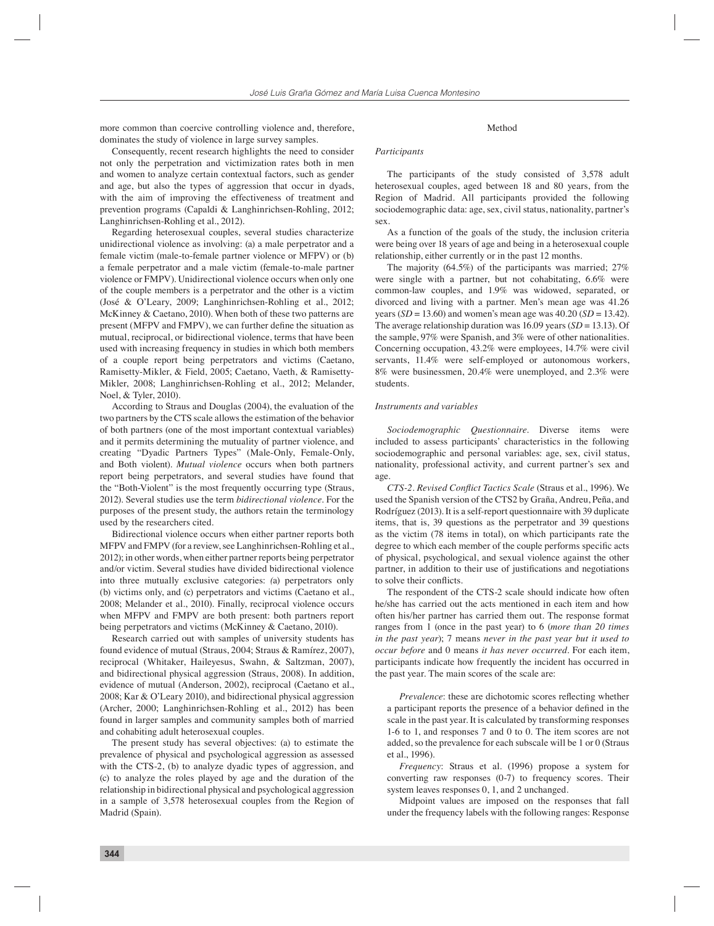more common than coercive controlling violence and, therefore, dominates the study of violence in large survey samples.

Consequently, recent research highlights the need to consider not only the perpetration and victimization rates both in men and women to analyze certain contextual factors, such as gender and age, but also the types of aggression that occur in dyads, with the aim of improving the effectiveness of treatment and prevention programs (Capaldi & Langhinrichsen-Rohling, 2012; Langhinrichsen-Rohling et al., 2012).

Regarding heterosexual couples, several studies characterize unidirectional violence as involving: (a) a male perpetrator and a female victim (male-to-female partner violence or MFPV) or (b) a female perpetrator and a male victim (female-to-male partner violence or FMPV). Unidirectional violence occurs when only one of the couple members is a perpetrator and the other is a victim (José & O'Leary, 2009; Langhinrichsen-Rohling et al., 2012; McKinney & Caetano, 2010). When both of these two patterns are present (MFPV and FMPV), we can further define the situation as mutual, reciprocal, or bidirectional violence, terms that have been used with increasing frequency in studies in which both members of a couple report being perpetrators and victims (Caetano, Ramisetty-Mikler, & Field, 2005; Caetano, Vaeth, & Ramisetty-Mikler, 2008; Langhinrichsen-Rohling et al., 2012; Melander, Noel, & Tyler, 2010).

According to Straus and Douglas (2004), the evaluation of the two partners by the CTS scale allows the estimation of the behavior of both partners (one of the most important contextual variables) and it permits determining the mutuality of partner violence, and creating "Dyadic Partners Types" (Male-Only, Female-Only, and Both violent). *Mutual violence* occurs when both partners report being perpetrators, and several studies have found that the "Both-Violent" is the most frequently occurring type (Straus, 2012). Several studies use the term *bidirectional violence*. For the purposes of the present study, the authors retain the terminology used by the researchers cited.

Bidirectional violence occurs when either partner reports both MFPV and FMPV (for a review, see Langhinrichsen-Rohling et al., 2012); in other words, when either partner reports being perpetrator and/or victim. Several studies have divided bidirectional violence into three mutually exclusive categories: *(*a) perpetrators only (b) victims only, and (c) perpetrators and victims (Caetano et al., 2008; Melander et al., 2010). Finally, reciprocal violence occurs when MFPV and FMPV are both present: both partners report being perpetrators and victims (McKinney & Caetano, 2010).

Research carried out with samples of university students has found evidence of mutual (Straus, 2004; Straus & Ramírez, 2007), reciprocal (Whitaker, Haileyesus, Swahn, & Saltzman, 2007), and bidirectional physical aggression (Straus, 2008). In addition, evidence of mutual (Anderson, 2002), reciprocal (Caetano et al., 2008; Kar & O'Leary 2010), and bidirectional physical aggression (Archer, 2000; Langhinrichsen-Rohling et al., 2012) has been found in larger samples and community samples both of married and cohabiting adult heterosexual couples.

The present study has several objectives: (a) to estimate the prevalence of physical and psychological aggression as assessed with the CTS-2, (b) to analyze dyadic types of aggression, and (c) to analyze the roles played by age and the duration of the relationship in bidirectional physical and psychological aggression in a sample of 3,578 heterosexual couples from the Region of Madrid (Spain).

#### Method

#### *Participants*

The participants of the study consisted of 3,578 adult heterosexual couples, aged between 18 and 80 years, from the Region of Madrid. All participants provided the following sociodemographic data: age, sex, civil status, nationality, partner's sex.

As a function of the goals of the study, the inclusion criteria were being over 18 years of age and being in a heterosexual couple relationship, either currently or in the past 12 months.

The majority (64.5%) of the participants was married; 27% were single with a partner, but not cohabitating, 6.6% were common-law couples, and 1.9% was widowed, separated, or divorced and living with a partner. Men's mean age was 41.26 years (*SD* = 13.60) and women's mean age was  $40.20$  (*SD* = 13.42). The average relationship duration was 16.09 years (*SD* = 13.13). Of the sample, 97% were Spanish, and 3% were of other nationalities. Concerning occupation, 43.2% were employees, 14.7% were civil servants, 11.4% were self-employed or autonomous workers, 8% were businessmen, 20.4% were unemployed, and 2.3% were students.

#### *Instruments and variables*

*Sociodemographic Questionnaire*. Diverse items were included to assess participants' characteristics in the following sociodemographic and personal variables: age, sex, civil status, nationality, professional activity, and current partner's sex and age.

CTS-2. Revised Conflict Tactics Scale (Straus et al., 1996). We used the Spanish version of the CTS2 by Graña, Andreu, Peña, and Rodríguez (2013). It is a self-report questionnaire with 39 duplicate items, that is, 39 questions as the perpetrator and 39 questions as the victim (78 items in total), on which participants rate the degree to which each member of the couple performs specific acts of physical, psychological, and sexual violence against the other partner, in addition to their use of justifications and negotiations to solve their conflicts.

The respondent of the CTS-2 scale should indicate how often he/she has carried out the acts mentioned in each item and how often his/her partner has carried them out. The response format ranges from 1 (once in the past year) to 6 (*more than 20 times in the past year*); 7 means *never in the past year but it used to occur before* and 0 means *it has never occurred*. For each item, participants indicate how frequently the incident has occurred in the past year. The main scores of the scale are:

*Prevalence*: these are dichotomic scores reflecting whether a participant reports the presence of a behavior defined in the scale in the past year. It is calculated by transforming responses 1-6 to 1, and responses 7 and 0 to 0. The item scores are not added, so the prevalence for each subscale will be 1 or 0 (Straus et al., 1996).

*Frequency*: Straus et al. (1996) propose a system for converting raw responses (0-7) to frequency scores. Their system leaves responses 0, 1, and 2 unchanged.

Midpoint values are imposed on the responses that fall under the frequency labels with the following ranges: Response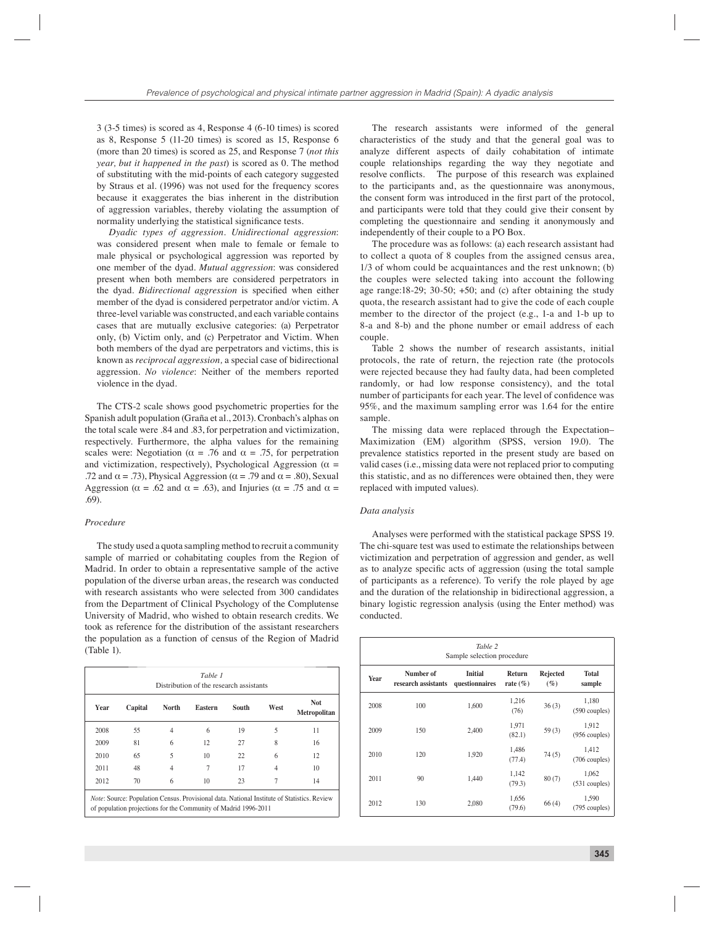3 (3-5 times) is scored as 4, Response 4 (6-10 times) is scored as 8, Response 5 (11-20 times) is scored as 15, Response 6 (more than 20 times) is scored as 25, and Response 7 (*not this year, but it happened in the past*) is scored as 0. The method of substituting with the mid-points of each category suggested by Straus et al. (1996) was not used for the frequency scores because it exaggerates the bias inherent in the distribution of aggression variables, thereby violating the assumption of normality underlying the statistical significance tests.

*Dyadic types of aggression. Unidirectional aggression*: was considered present when male to female or female to male physical or psychological aggression was reported by one member of the dyad. *Mutual aggression*: was considered present when both members are considered perpetrators in the dyad. *Bidirectional aggression* is specified when either member of the dyad is considered perpetrator and/or victim. A three-level variable was constructed, and each variable contains cases that are mutually exclusive categories: (a) Perpetrator only, (b) Victim only, and (c) Perpetrator and Victim. When both members of the dyad are perpetrators and victims, this is known as *reciprocal aggression,* a special case of bidirectional aggression*. No violence*: Neither of the members reported violence in the dyad.

The CTS-2 scale shows good psychometric properties for the Spanish adult population (Graña et al., 2013). Cronbach's alphas on the total scale were .84 and .83, for perpetration and victimization, respectively. Furthermore, the alpha values for the remaining scales were: Negotiation ( $\alpha = .76$  and  $\alpha = .75$ , for perpetration and victimization, respectively), Psychological Aggression ( $\alpha$  = .72 and  $\alpha = .73$ ), Physical Aggression ( $\alpha = .79$  and  $\alpha = .80$ ), Sexual Aggression ( $\alpha$  = .62 and  $\alpha$  = .63), and Injuries ( $\alpha$  = .75 and  $\alpha$  = .69).

## *Procedure*

The study used a quota sampling method to recruit a community sample of married or cohabitating couples from the Region of Madrid. In order to obtain a representative sample of the active population of the diverse urban areas, the research was conducted with research assistants who were selected from 300 candidates from the Department of Clinical Psychology of the Complutense University of Madrid, who wished to obtain research credits. We took as reference for the distribution of the assistant researchers the population as a function of census of the Region of Madrid (Table 1).

| Table 1<br>Distribution of the research assistants |         |       |         |       |      |                      |
|----------------------------------------------------|---------|-------|---------|-------|------|----------------------|
| Year                                               | Capital | North | Eastern | South | West | Not.<br>Metropolitan |
| 2008                                               | 55      | 4     | 6       | 19    | 5    | 11                   |
| 2009                                               | 81      | 6     | 12      | 27    | 8    | 16                   |
| 2010                                               | 65      | 5     | 10      | 22    | 6    | 12                   |
| 2011                                               | 48      | 4     | 7       | 17    | 4    | 10                   |
| 2012                                               | 70      | 6     | 10      | 23    | 7    | 14                   |

The research assistants were informed of the general characteristics of the study and that the general goal was to analyze different aspects of daily cohabitation of intimate couple relationships regarding the way they negotiate and resolve conflicts. The purpose of this research was explained to the participants and, as the questionnaire was anonymous, the consent form was introduced in the first part of the protocol. and participants were told that they could give their consent by completing the questionnaire and sending it anonymously and independently of their couple to a PO Box.

The procedure was as follows: (a) each research assistant had to collect a quota of 8 couples from the assigned census area, 1/3 of whom could be acquaintances and the rest unknown; (b) the couples were selected taking into account the following age range:18-29; 30-50;  $+50$ ; and (c) after obtaining the study quota, the research assistant had to give the code of each couple member to the director of the project (e.g., 1-a and 1-b up to 8-a and 8-b) and the phone number or email address of each couple.

Table 2 shows the number of research assistants, initial protocols, the rate of return, the rejection rate (the protocols were rejected because they had faulty data, had been completed randomly, or had low response consistency), and the total number of participants for each year. The level of confidence was 95%, and the maximum sampling error was 1.64 for the entire sample.

The missing data were replaced through the Expectation– Maximization (EM) algorithm (SPSS, version 19.0). The prevalence statistics reported in the present study are based on valid cases (i.e., missing data were not replaced prior to computing this statistic, and as no differences were obtained then, they were replaced with imputed values).

#### *Data analysis*

Analyses were performed with the statistical package SPSS 19. The chi-square test was used to estimate the relationships between victimization and perpetration of aggression and gender, as well as to analyze specific acts of aggression (using the total sample of participants as a reference). To verify the role played by age and the duration of the relationship in bidirectional aggression, a binary logistic regression analysis (using the Enter method) was conducted.

| Table 2<br>Sample selection procedure |                                  |                                  |                        |                      |                          |  |  |
|---------------------------------------|----------------------------------|----------------------------------|------------------------|----------------------|--------------------------|--|--|
| Year                                  | Number of<br>research assistants | <b>Initial</b><br>questionnaires | Return<br>rate $(\% )$ | Rejected<br>$( \% )$ | <b>Total</b><br>sample   |  |  |
| 2008                                  | 100                              | 1,600                            | 1,216<br>(76)          | 36(3)                | 1,180<br>(590 couples)   |  |  |
| 2009                                  | 150                              | 2.400                            | 1,971<br>(82.1)        | 59 $(3)$             | 1,912<br>$(956$ couples) |  |  |
| 2010                                  | 120                              | 1,920                            | 1,486<br>(77.4)        | 74(5)                | 1.412<br>$(706$ couples) |  |  |
| 2011                                  | 90                               | 1,440                            | 1,142<br>(79.3)        | 80(7)                | 1,062<br>$(531$ couples) |  |  |
| 2012                                  | 130                              | 2.080                            | 1,656<br>(79.6)        | 66(4)                | 1,590<br>(795 couples)   |  |  |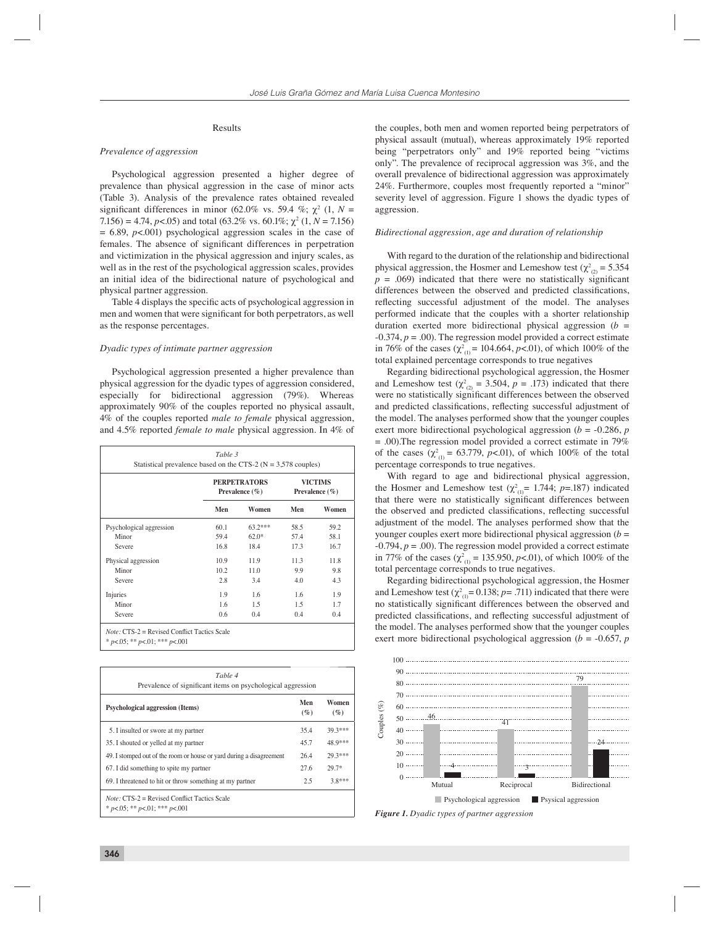### Results

#### *Prevalence of aggression*

Psychological aggression presented a higher degree of prevalence than physical aggression in the case of minor acts (Table 3). Analysis of the prevalence rates obtained revealed significant differences in minor (62.0% vs. 59.4 %;  $\chi^2$  (1, N =  $7.156$ ) = 4.74,  $p$ <.05) and total (63.2% vs. 60.1%;  $\chi^2$  (1,  $N = 7.156$ )  $= 6.89$ ,  $p < .001$ ) psychological aggression scales in the case of females. The absence of significant differences in perpetration and victimization in the physical aggression and injury scales, as well as in the rest of the psychological aggression scales, provides an initial idea of the bidirectional nature of psychological and physical partner aggression.

Table 4 displays the specific acts of psychological aggression in men and women that were significant for both perpetrators, as well as the response percentages.

#### *Dyadic types of intimate partner aggression*

Psychological aggression presented a higher prevalence than physical aggression for the dyadic types of aggression considered, especially for bidirectional aggression (79%). Whereas approximately 90% of the couples reported no physical assault, 4% of the couples reported *male to female* physical aggression, and 4.5% reported *female to male* physical aggression. In 4% of

|                          | <b>PERPETRATORS</b><br>Prevalence $(\% )$ |           | <b>VICTIMS</b><br>Prevalence $(\% )$ |       |
|--------------------------|-------------------------------------------|-----------|--------------------------------------|-------|
|                          | Men                                       | Women     | Men                                  | Women |
| Psychological aggression | 60.1                                      | $63.2***$ | 58.5                                 | 59.2  |
| Minor                    | 59.4                                      | $62.0*$   | 57.4                                 | 58.1  |
| Severe                   | 16.8                                      | 18.4      | 17.3                                 | 16.7  |
| Physical aggression      | 10.9                                      | 11.9      | 11.3                                 | 11.8  |
| Minor                    | 10.2                                      | 11.0      | 9.9                                  | 9.8   |
| Severe                   | 2.8                                       | 3.4       | 4.0                                  | 4.3   |
| Injuries                 | 1.9                                       | 1.6       | 1.6                                  | 1.9   |
| Minor                    | 1.6                                       | 1.5       | 1.5                                  | 1.7   |
| Severe                   | 0.6                                       | 0.4       | 0.4                                  | 0.4   |

| Table 4<br>Prevalence of significant items on psychological aggression                      |               |                 |  |  |  |  |
|---------------------------------------------------------------------------------------------|---------------|-----------------|--|--|--|--|
| <b>Psychological aggression (Items)</b>                                                     | Men<br>$($ %) | Women<br>$(\%)$ |  |  |  |  |
| 5. I insulted or swore at my partner                                                        | 35.4          | $393***$        |  |  |  |  |
| 35. I shouted or yelled at my partner                                                       | 45.7          | 48.9***         |  |  |  |  |
| 49. I stomped out of the room or house or yard during a disagreement                        | 26.4          | 29 3 ***        |  |  |  |  |
| 67. I did something to spite my partner                                                     | 27.6          | $29.7*$         |  |  |  |  |
| 69. I threatened to hit or throw something at my partner                                    | 2.5           | $3.8***$        |  |  |  |  |
| <i>Note:</i> $CTS-2$ = Revised Conflict Tactics Scale<br>* $p<05$ ; ** $p<01$ ; *** $p<001$ |               |                 |  |  |  |  |

the couples, both men and women reported being perpetrators of physical assault (mutual), whereas approximately 19% reported being "perpetrators only" and 19% reported being "victims only". The prevalence of reciprocal aggression was 3%, and the overall prevalence of bidirectional aggression was approximately 24%. Furthermore, couples most frequently reported a "minor" severity level of aggression. Figure 1 shows the dyadic types of aggression.

#### *Bidirectional aggression, age and duration of relationship*

With regard to the duration of the relationship and bidirectional physical aggression, the Hosmer and Lemeshow test ( $\chi^2_{(2)} = 5.354$ )  $p = .069$ ) indicated that there were no statistically significant differences between the observed and predicted classifications, reflecting successful adjustment of the model. The analyses performed indicate that the couples with a shorter relationship duration exerted more bidirectional physical aggression  $(b =$  $-0.374$ ,  $p = .00$ ). The regression model provided a correct estimate in 76% of the cases ( $\chi^2_{(1)}$  = 104.664, *p*<.01), of which 100% of the total explained percentage corresponds to true negatives

Regarding bidirectional psychological aggression, the Hosmer and Lemeshow test ( $\chi^2_{(2)} = 3.504$ ,  $p = .173$ ) indicated that there were no statistically significant differences between the observed and predicted classifications, reflecting successful adjustment of the model. The analyses performed show that the younger couples exert more bidirectional psychological aggression (*b* = -0.286, *p*  = .00).The regression model provided a correct estimate in 79% of the cases  $(\chi^2_{(1)} = 63.779, p<0.01)$ , of which 100% of the total percentage corresponds to true negatives.

With regard to age and bidirectional physical aggression, the Hosmer and Lemeshow test ( $\chi^2_{(1)} = 1.744$ ; *p*=.187) indicated that there were no statistically significant differences between the observed and predicted classifications, reflecting successful adjustment of the model. The analyses performed show that the younger couples exert more bidirectional physical aggression (*b* =  $-0.794$ ,  $p = .00$ ). The regression model provided a correct estimate in 77% of the cases ( $\chi^2_{(1)} = 135.950$ , *p*<.01), of which 100% of the total percentage corresponds to true negatives.

Regarding bidirectional psychological aggression, the Hosmer and Lemeshow test  $(\chi^2_{(1)} = 0.138; p = .711)$  indicated that there were no statistically significant differences between the observed and predicted classifications, and reflecting successful adjustment of the model. The analyses performed show that the younger couples exert more bidirectional psychological aggression (*b* = -0.657, *p* 



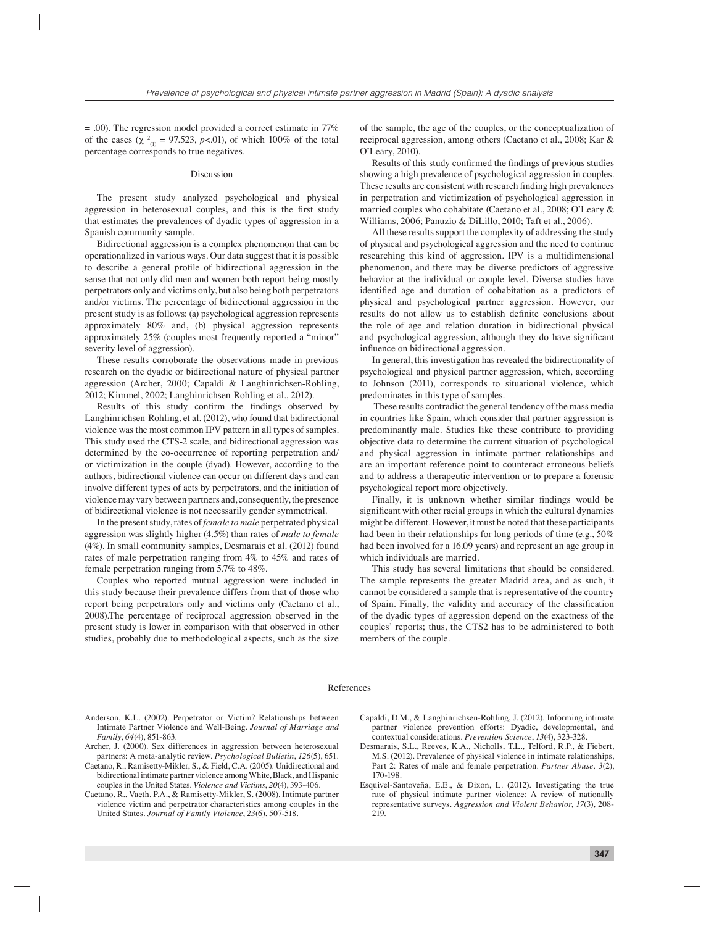= .00). The regression model provided a correct estimate in 77% of the cases ( $\chi^2_{(1)} = 97.523$ , *p*<.01), of which 100% of the total percentage corresponds to true negatives.

#### Discussion

The present study analyzed psychological and physical aggression in heterosexual couples, and this is the first study that estimates the prevalences of dyadic types of aggression in a Spanish community sample.

Bidirectional aggression is a complex phenomenon that can be operationalized in various ways. Our data suggest that it is possible to describe a general profile of bidirectional aggression in the sense that not only did men and women both report being mostly perpetrators only and victims only, but also being both perpetrators and/or victims. The percentage of bidirectional aggression in the present study is as follows: (a) psychological aggression represents approximately 80% and, (b) physical aggression represents approximately 25% (couples most frequently reported a "minor" severity level of aggression).

These results corroborate the observations made in previous research on the dyadic or bidirectional nature of physical partner aggression (Archer, 2000; Capaldi & Langhinrichsen-Rohling, 2012; Kimmel, 2002; Langhinrichsen-Rohling et al., 2012).

Results of this study confirm the findings observed by Langhinrichsen-Rohling, et al. (2012), who found that bidirectional violence was the most common IPV pattern in all types of samples. This study used the CTS-2 scale, and bidirectional aggression was determined by the co-occurrence of reporting perpetration and/ or victimization in the couple (dyad). However, according to the authors, bidirectional violence can occur on different days and can involve different types of acts by perpetrators, and the initiation of violence may vary between partners and, consequently, the presence of bidirectional violence is not necessarily gender symmetrical.

In the present study, rates of *female to male* perpetrated physical aggression was slightly higher (4.5%) than rates of *male to female* (4%). In small community samples, Desmarais et al. (2012) found rates of male perpetration ranging from 4% to 45% and rates of female perpetration ranging from 5.7% to 48%.

Couples who reported mutual aggression were included in this study because their prevalence differs from that of those who report being perpetrators only and victims only (Caetano et al., 2008).The percentage of reciprocal aggression observed in the present study is lower in comparison with that observed in other studies, probably due to methodological aspects, such as the size

of the sample, the age of the couples, or the conceptualization of reciprocal aggression, among others (Caetano et al., 2008; Kar & O'Leary, 2010).

Results of this study confirmed the findings of previous studies showing a high prevalence of psychological aggression in couples. These results are consistent with research finding high prevalences in perpetration and victimization of psychological aggression in married couples who cohabitate (Caetano et al., 2008; O'Leary & Williams, 2006; Panuzio & DiLillo, 2010; Taft et al., 2006).

All these results support the complexity of addressing the study of physical and psychological aggression and the need to continue researching this kind of aggression. IPV is a multidimensional phenomenon, and there may be diverse predictors of aggressive behavior at the individual or couple level. Diverse studies have identified age and duration of cohabitation as a predictors of physical and psychological partner aggression. However, our results do not allow us to establish definite conclusions about the role of age and relation duration in bidirectional physical and psychological aggression, although they do have significant influence on bidirectional aggression.

In general, this investigation has revealed the bidirectionality of psychological and physical partner aggression, which, according to Johnson (2011), corresponds to situational violence, which predominates in this type of samples.

 These results contradict the general tendency of the mass media in countries like Spain, which consider that partner aggression is predominantly male. Studies like these contribute to providing objective data to determine the current situation of psychological and physical aggression in intimate partner relationships and are an important reference point to counteract erroneous beliefs and to address a therapeutic intervention or to prepare a forensic psychological report more objectively.

Finally, it is unknown whether similar findings would be significant with other racial groups in which the cultural dynamics might be different. However, it must be noted that these participants had been in their relationships for long periods of time (e.g., 50% had been involved for a 16.09 years) and represent an age group in which individuals are married.

This study has several limitations that should be considered. The sample represents the greater Madrid area, and as such, it cannot be considered a sample that is representative of the country of Spain. Finally, the validity and accuracy of the classification of the dyadic types of aggression depend on the exactness of the couples' reports; thus, the CTS2 has to be administered to both members of the couple.

#### References

- Anderson, K.L. (2002). Perpetrator or Victim? Relationships between Intimate Partner Violence and Well-Being. *Journal of Marriage and Family*, *64*(4), 851-863.
- Archer, J. (2000). Sex differences in aggression between heterosexual partners: A meta-analytic review. *Psychological Bulletin*, *126*(5), 651.
- Caetano, R., Ramisetty-Mikler, S., & Field, C.A. (2005). Unidirectional and bidirectional intimate partner violence among White, Black, and Hispanic couples in the United States. *Violence and Victims*, *20*(4), 393-406.
- Caetano, R., Vaeth, P.A., & Ramisetty-Mikler, S. (2008). Intimate partner violence victim and perpetrator characteristics among couples in the United States. *Journal of Family Violence*, *23*(6), 507-518.
- Capaldi, D.M., & Langhinrichsen-Rohling, J. (2012). Informing intimate partner violence prevention efforts: Dyadic, developmental, and contextual considerations. *Prevention Science*, *13*(4), 323-328.
- Desmarais, S.L., Reeves, K.A., Nicholls, T.L., Telford, R.P., & Fiebert, M.S. (2012). Prevalence of physical violence in intimate relationships, Part 2: Rates of male and female perpetration. *Partner Abuse, 3*(2), 170-198.
- Esquivel-Santoveña, E.E., & Dixon, L. (2012). Investigating the true rate of physical intimate partner violence: A review of nationally representative surveys. *Aggression and Violent Behavior*, *17*(3), 208- 219.